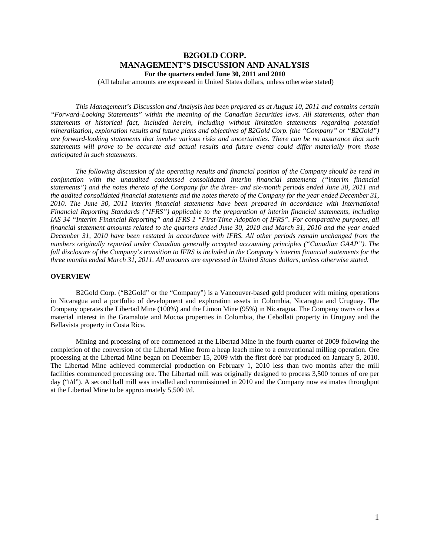# **B2GOLD CORP. MANAGEMENT'S DISCUSSION AND ANALYSIS For the quarters ended June 30, 2011 and 2010**

(All tabular amounts are expressed in United States dollars, unless otherwise stated)

*This Management's Discussion and Analysis has been prepared as at August 10, 2011 and contains certain "Forward-Looking Statements" within the meaning of the Canadian Securities laws. All statements, other than statements of historical fact, included herein, including without limitation statements regarding potential mineralization, exploration results and future plans and objectives of B2Gold Corp. (the "Company" or "B2Gold") are forward-looking statements that involve various risks and uncertainties. There can be no assurance that such statements will prove to be accurate and actual results and future events could differ materially from those anticipated in such statements.* 

*The following discussion of the operating results and financial position of the Company should be read in conjunction with the unaudited condensed consolidated interim financial statements ("interim financial statements") and the notes thereto of the Company for the three- and six-month periods ended June 30, 2011 and the audited consolidated financial statements and the notes thereto of the Company for the year ended December 31, 2010. The June 30, 2011 interim financial statements have been prepared in accordance with International Financial Reporting Standards ("IFRS") applicable to the preparation of interim financial statements, including IAS 34 "Interim Financial Reporting" and IFRS 1 "First-Time Adoption of IFRS". For comparative purposes, all financial statement amounts related to the quarters ended June 30, 2010 and March 31, 2010 and the year ended December 31, 2010 have been restated in accordance with IFRS. All other periods remain unchanged from the numbers originally reported under Canadian generally accepted accounting principles ("Canadian GAAP"). The full disclosure of the Company's transition to IFRS is included in the Company's interim financial statements for the three months ended March 31, 2011. All amounts are expressed in United States dollars, unless otherwise stated.* 

### **OVERVIEW**

B2Gold Corp. ("B2Gold" or the "Company") is a Vancouver-based gold producer with mining operations in Nicaragua and a portfolio of development and exploration assets in Colombia, Nicaragua and Uruguay. The Company operates the Libertad Mine (100%) and the Limon Mine (95%) in Nicaragua. The Company owns or has a material interest in the Gramalote and Mocoa properties in Colombia, the Cebollati property in Uruguay and the Bellavista property in Costa Rica.

Mining and processing of ore commenced at the Libertad Mine in the fourth quarter of 2009 following the completion of the conversion of the Libertad Mine from a heap leach mine to a conventional milling operation. Ore processing at the Libertad Mine began on December 15, 2009 with the first doré bar produced on January 5, 2010. The Libertad Mine achieved commercial production on February 1, 2010 less than two months after the mill facilities commenced processing ore. The Libertad mill was originally designed to process 3,500 tonnes of ore per day ("t/d"). A second ball mill was installed and commissioned in 2010 and the Company now estimates throughput at the Libertad Mine to be approximately 5,500 t/d.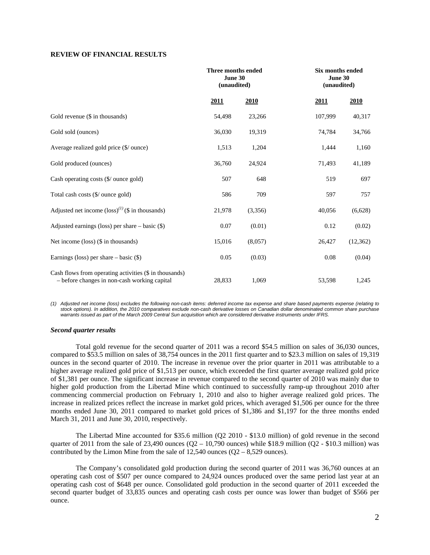### **REVIEW OF FINANCIAL RESULTS**

|                                                                                                        | Three months ended<br>June 30<br>(unaudited) |         |         | <b>Six months ended</b><br>June 30<br>(unaudited) |  |  |
|--------------------------------------------------------------------------------------------------------|----------------------------------------------|---------|---------|---------------------------------------------------|--|--|
|                                                                                                        | 2011                                         | 2010    | 2011    | 2010                                              |  |  |
| Gold revenue (\$ in thousands)                                                                         | 54,498                                       | 23,266  | 107,999 | 40,317                                            |  |  |
| Gold sold (ounces)                                                                                     | 36,030                                       | 19,319  | 74,784  | 34,766                                            |  |  |
| Average realized gold price (\$/ ounce)                                                                | 1,513                                        | 1,204   | 1,444   | 1,160                                             |  |  |
| Gold produced (ounces)                                                                                 | 36,760                                       | 24,924  | 71,493  | 41,189                                            |  |  |
| Cash operating costs (\$/ ounce gold)                                                                  | 507                                          | 648     | 519     | 697                                               |  |  |
| Total cash costs (\$/ ounce gold)                                                                      | 586                                          | 709     | 597     | 757                                               |  |  |
| Adjusted net income $(\text{loss})^{(1)}$ (\$ in thousands)                                            | 21,978                                       | (3,356) | 40,056  | (6,628)                                           |  |  |
| Adjusted earnings (loss) per share $-$ basic $(\$)$                                                    | 0.07                                         | (0.01)  | 0.12    | (0.02)                                            |  |  |
| Net income (loss) (\$ in thousands)                                                                    | 15,016                                       | (8,057) | 26,427  | (12, 362)                                         |  |  |
| Earnings (loss) per share $-$ basic $(\$)$                                                             | 0.05                                         | (0.03)  | 0.08    | (0.04)                                            |  |  |
| Cash flows from operating activities (\$ in thousands)<br>- before changes in non-cash working capital | 28,833                                       | 1,069   | 53,598  | 1,245                                             |  |  |

*(1) Adjusted net income (loss) excludes the following non-cash items: deferred income tax expense and share based payments expense (relating to stock options). In addition, the 2010 comparatives exclude non-cash derivative losses on Canadian dollar denominated common share purchase warrants issued as part of the March 2009 Central Sun acquisition which are considered derivative instruments under IFRS.* 

#### *Second quarter results*

Total gold revenue for the second quarter of 2011 was a record \$54.5 million on sales of 36,030 ounces, compared to \$53.5 million on sales of 38,754 ounces in the 2011 first quarter and to \$23.3 million on sales of 19,319 ounces in the second quarter of 2010. The increase in revenue over the prior quarter in 2011 was attributable to a higher average realized gold price of \$1,513 per ounce, which exceeded the first quarter average realized gold price of \$1,381 per ounce. The significant increase in revenue compared to the second quarter of 2010 was mainly due to higher gold production from the Libertad Mine which continued to successfully ramp-up throughout 2010 after commencing commercial production on February 1, 2010 and also to higher average realized gold prices. The increase in realized prices reflect the increase in market gold prices, which averaged \$1,506 per ounce for the three months ended June 30, 2011 compared to market gold prices of \$1,386 and \$1,197 for the three months ended March 31, 2011 and June 30, 2010, respectively.

The Libertad Mine accounted for \$35.6 million (Q2 2010 - \$13.0 million) of gold revenue in the second quarter of 2011 from the sale of 23,490 ounces  $(Q2 - 10,790)$  ounces) while \$18.9 million  $(Q2 - 10,790)$  was contributed by the Limon Mine from the sale of  $12,540$  ounces  $(Q2 - 8,529)$  ounces).

The Company's consolidated gold production during the second quarter of 2011 was 36,760 ounces at an operating cash cost of \$507 per ounce compared to 24,924 ounces produced over the same period last year at an operating cash cost of \$648 per ounce. Consolidated gold production in the second quarter of 2011 exceeded the second quarter budget of 33,835 ounces and operating cash costs per ounce was lower than budget of \$566 per ounce.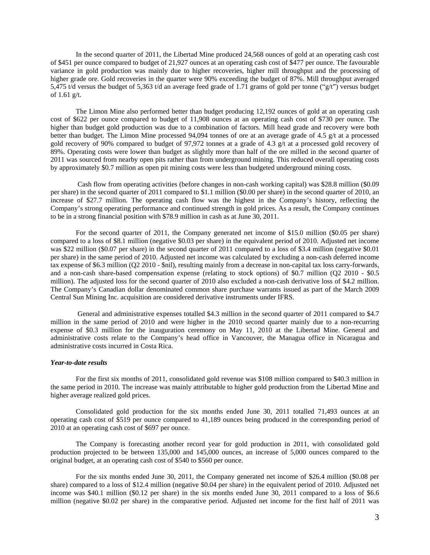In the second quarter of 2011, the Libertad Mine produced 24,568 ounces of gold at an operating cash cost of \$451 per ounce compared to budget of 21,927 ounces at an operating cash cost of \$477 per ounce. The favourable variance in gold production was mainly due to higher recoveries, higher mill throughput and the processing of higher grade ore. Gold recoveries in the quarter were 90% exceeding the budget of 87%. Mill throughput averaged 5,475 t/d versus the budget of 5,363 t/d an average feed grade of 1.71 grams of gold per tonne ("g/t") versus budget of 1.61 g/t.

The Limon Mine also performed better than budget producing 12,192 ounces of gold at an operating cash cost of \$622 per ounce compared to budget of 11,908 ounces at an operating cash cost of \$730 per ounce. The higher than budget gold production was due to a combination of factors. Mill head grade and recovery were both better than budget. The Limon Mine processed 94,094 tonnes of ore at an average grade of 4.5 g/t at a processed gold recovery of 90% compared to budget of 97,972 tonnes at a grade of 4.3 g/t at a processed gold recovery of 89%. Operating costs were lower than budget as slightly more than half of the ore milled in the second quarter of 2011 was sourced from nearby open pits rather than from underground mining. This reduced overall operating costs by approximately \$0.7 million as open pit mining costs were less than budgeted underground mining costs.

 Cash flow from operating activities (before changes in non-cash working capital) was \$28.8 million (\$0.09 per share) in the second quarter of 2011 compared to \$1.1 million (\$0.00 per share) in the second quarter of 2010, an increase of \$27.7 million. The operating cash flow was the highest in the Company's history, reflecting the Company's strong operating performance and continued strength in gold prices. As a result, the Company continues to be in a strong financial position with \$78.9 million in cash as at June 30, 2011.

For the second quarter of 2011, the Company generated net income of \$15.0 million (\$0.05 per share) compared to a loss of \$8.1 million (negative \$0.03 per share) in the equivalent period of 2010. Adjusted net income was \$22 million (\$0.07 per share) in the second quarter of 2011 compared to a loss of \$3.4 million (negative \$0.01 per share) in the same period of 2010. Adjusted net income was calculated by excluding a non-cash deferred income tax expense of \$6.3 million (Q2 2010 - \$nil), resulting mainly from a decrease in non-capital tax loss carry-forwards, and a non-cash share-based compensation expense (relating to stock options) of \$0.7 million (Q2 2010 - \$0.5 million). The adjusted loss for the second quarter of 2010 also excluded a non-cash derivative loss of \$4.2 million. The Company's Canadian dollar denominated common share purchase warrants issued as part of the March 2009 Central Sun Mining Inc. acquisition are considered derivative instruments under IFRS.

 General and administrative expenses totalled \$4.3 million in the second quarter of 2011 compared to \$4.7 million in the same period of 2010 and were higher in the 2010 second quarter mainly due to a non-recurring expense of \$0.3 million for the inauguration ceremony on May 11, 2010 at the Libertad Mine. General and administrative costs relate to the Company's head office in Vancouver, the Managua office in Nicaragua and administrative costs incurred in Costa Rica.

#### *Year-to-date results*

For the first six months of 2011, consolidated gold revenue was \$108 million compared to \$40.3 million in the same period in 2010. The increase was mainly attributable to higher gold production from the Libertad Mine and higher average realized gold prices.

Consolidated gold production for the six months ended June 30, 2011 totalled 71,493 ounces at an operating cash cost of \$519 per ounce compared to 41,189 ounces being produced in the corresponding period of 2010 at an operating cash cost of \$697 per ounce.

The Company is forecasting another record year for gold production in 2011, with consolidated gold production projected to be between 135,000 and 145,000 ounces, an increase of 5,000 ounces compared to the original budget, at an operating cash cost of \$540 to \$560 per ounce.

For the six months ended June 30, 2011, the Company generated net income of \$26.4 million (\$0.08 per share) compared to a loss of \$12.4 million (negative \$0.04 per share) in the equivalent period of 2010. Adjusted net income was \$40.1 million (\$0.12 per share) in the six months ended June 30, 2011 compared to a loss of \$6.6 million (negative \$0.02 per share) in the comparative period. Adjusted net income for the first half of 2011 was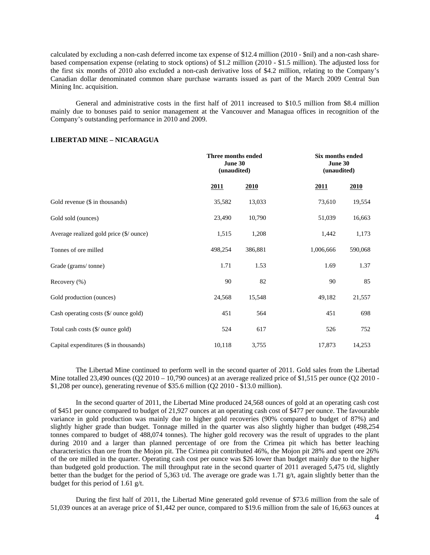calculated by excluding a non-cash deferred income tax expense of \$12.4 million (2010 - \$nil) and a non-cash sharebased compensation expense (relating to stock options) of \$1.2 million (2010 - \$1.5 million). The adjusted loss for the first six months of 2010 also excluded a non-cash derivative loss of \$4.2 million, relating to the Company's Canadian dollar denominated common share purchase warrants issued as part of the March 2009 Central Sun Mining Inc. acquisition.

General and administrative costs in the first half of 2011 increased to \$10.5 million from \$8.4 million mainly due to bonuses paid to senior management at the Vancouver and Managua offices in recognition of the Company's outstanding performance in 2010 and 2009.

### **LIBERTAD MINE – NICARAGUA**

|                                         | Three months ended<br>June 30 | (unaudited) |           | Six months ended<br>June 30<br>(unaudited) |  |  |
|-----------------------------------------|-------------------------------|-------------|-----------|--------------------------------------------|--|--|
|                                         | <u>2011</u>                   | <b>2010</b> | 2011      | 2010                                       |  |  |
| Gold revenue (\$ in thousands)          | 35,582                        | 13,033      | 73,610    | 19,554                                     |  |  |
| Gold sold (ounces)                      | 23,490                        | 10,790      | 51,039    | 16,663                                     |  |  |
| Average realized gold price (\$/ ounce) | 1,515                         | 1,208       | 1,442     | 1,173                                      |  |  |
| Tonnes of ore milled                    | 498,254                       | 386,881     | 1,006,666 | 590,068                                    |  |  |
| Grade (grams/tonne)                     | 1.71                          | 1.53        | 1.69      | 1.37                                       |  |  |
| Recovery (%)                            | 90                            | 82          | 90        | 85                                         |  |  |
| Gold production (ounces)                | 24,568                        | 15,548      | 49,182    | 21,557                                     |  |  |
| Cash operating costs (\$/ ounce gold)   | 451                           | 564         | 451       | 698                                        |  |  |
| Total cash costs (\$/ ounce gold)       | 524                           | 617         | 526       | 752                                        |  |  |
| Capital expenditures (\$ in thousands)  | 10,118                        | 3,755       | 17,873    | 14,253                                     |  |  |

The Libertad Mine continued to perform well in the second quarter of 2011. Gold sales from the Libertad Mine totalled 23,490 ounces  $(Q2 2010 - 10,790$  ounces) at an average realized price of \$1,515 per ounce  $(Q2 2010 - 10,790)$ \$1,208 per ounce), generating revenue of \$35.6 million (Q2 2010 - \$13.0 million).

In the second quarter of 2011, the Libertad Mine produced 24,568 ounces of gold at an operating cash cost of \$451 per ounce compared to budget of 21,927 ounces at an operating cash cost of \$477 per ounce. The favourable variance in gold production was mainly due to higher gold recoveries (90% compared to budget of 87%) and slightly higher grade than budget. Tonnage milled in the quarter was also slightly higher than budget (498,254 tonnes compared to budget of 488,074 tonnes). The higher gold recovery was the result of upgrades to the plant during 2010 and a larger than planned percentage of ore from the Crimea pit which has better leaching characteristics than ore from the Mojon pit. The Crimea pit contributed 46%, the Mojon pit 28% and spent ore 26% of the ore milled in the quarter. Operating cash cost per ounce was \$26 lower than budget mainly due to the higher than budgeted gold production. The mill throughput rate in the second quarter of 2011 averaged 5,475 t/d, slightly better than the budget for the period of 5,363 t/d. The average ore grade was 1.71 g/t, again slightly better than the budget for this period of 1.61 g/t.

During the first half of 2011, the Libertad Mine generated gold revenue of \$73.6 million from the sale of 51,039 ounces at an average price of \$1,442 per ounce, compared to \$19.6 million from the sale of 16,663 ounces at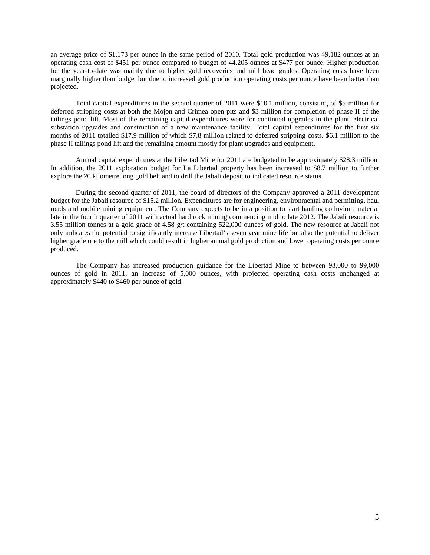an average price of \$1,173 per ounce in the same period of 2010. Total gold production was 49,182 ounces at an operating cash cost of \$451 per ounce compared to budget of 44,205 ounces at \$477 per ounce. Higher production for the year-to-date was mainly due to higher gold recoveries and mill head grades. Operating costs have been marginally higher than budget but due to increased gold production operating costs per ounce have been better than projected.

Total capital expenditures in the second quarter of 2011 were \$10.1 million, consisting of \$5 million for deferred stripping costs at both the Mojon and Crimea open pits and \$3 million for completion of phase II of the tailings pond lift. Most of the remaining capital expenditures were for continued upgrades in the plant, electrical substation upgrades and construction of a new maintenance facility. Total capital expenditures for the first six months of 2011 totalled \$17.9 million of which \$7.8 million related to deferred stripping costs, \$6.1 million to the phase II tailings pond lift and the remaining amount mostly for plant upgrades and equipment.

Annual capital expenditures at the Libertad Mine for 2011 are budgeted to be approximately \$28.3 million. In addition, the 2011 exploration budget for La Libertad property has been increased to \$8.7 million to further explore the 20 kilometre long gold belt and to drill the Jabali deposit to indicated resource status.

During the second quarter of 2011, the board of directors of the Company approved a 2011 development budget for the Jabali resource of \$15.2 million. Expenditures are for engineering, environmental and permitting, haul roads and mobile mining equipment. The Company expects to be in a position to start hauling colluvium material late in the fourth quarter of 2011 with actual hard rock mining commencing mid to late 2012. The Jabali resource is 3.55 million tonnes at a gold grade of 4.58 g/t containing 522,000 ounces of gold. The new resource at Jabali not only indicates the potential to significantly increase Libertad's seven year mine life but also the potential to deliver higher grade ore to the mill which could result in higher annual gold production and lower operating costs per ounce produced.

The Company has increased production guidance for the Libertad Mine to between 93,000 to 99,000 ounces of gold in 2011, an increase of 5,000 ounces, with projected operating cash costs unchanged at approximately \$440 to \$460 per ounce of gold.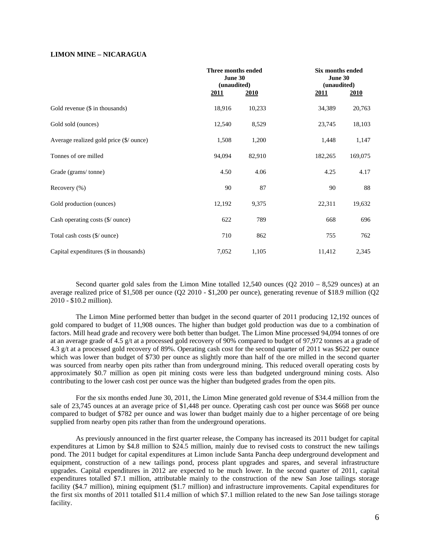### **LIMON MINE – NICARAGUA**

|                                         | Three months ended<br>June 30 | (unaudited) |             | Six months ended<br>June 30<br>(unaudited) |  |  |
|-----------------------------------------|-------------------------------|-------------|-------------|--------------------------------------------|--|--|
|                                         | <u>2011</u>                   | <u>2010</u> | <u>2011</u> | <u>2010</u>                                |  |  |
| Gold revenue (\$ in thousands)          | 18,916                        | 10,233      | 34,389      | 20,763                                     |  |  |
| Gold sold (ounces)                      | 12,540                        | 8,529       | 23,745      | 18,103                                     |  |  |
| Average realized gold price (\$/ ounce) | 1,508                         | 1,200       | 1,448       | 1,147                                      |  |  |
| Tonnes of ore milled                    | 94,094                        | 82,910      | 182,265     | 169,075                                    |  |  |
| Grade (grams/tonne)                     | 4.50                          | 4.06        | 4.25        | 4.17                                       |  |  |
| Recovery $(\% )$                        | 90                            | 87          | 90          | 88                                         |  |  |
| Gold production (ounces)                | 12,192                        | 9,375       | 22,311      | 19,632                                     |  |  |
| Cash operating costs (\$/ ounce)        | 622                           | 789         | 668         | 696                                        |  |  |
| Total cash costs (\$/ ounce)            | 710                           | 862         | 755         | 762                                        |  |  |
| Capital expenditures (\$ in thousands)  | 7,052                         | 1,105       | 11,412      | 2,345                                      |  |  |

Second quarter gold sales from the Limon Mine totalled  $12,540$  ounces (Q2 2010 – 8,529 ounces) at an average realized price of \$1,508 per ounce (Q2 2010 - \$1,200 per ounce), generating revenue of \$18.9 million (Q2 2010 - \$10.2 million).

The Limon Mine performed better than budget in the second quarter of 2011 producing 12,192 ounces of gold compared to budget of 11,908 ounces. The higher than budget gold production was due to a combination of factors. Mill head grade and recovery were both better than budget. The Limon Mine processed 94,094 tonnes of ore at an average grade of 4.5 g/t at a processed gold recovery of 90% compared to budget of 97,972 tonnes at a grade of 4.3 g/t at a processed gold recovery of 89%. Operating cash cost for the second quarter of 2011 was \$622 per ounce which was lower than budget of \$730 per ounce as slightly more than half of the ore milled in the second quarter was sourced from nearby open pits rather than from underground mining. This reduced overall operating costs by approximately \$0.7 million as open pit mining costs were less than budgeted underground mining costs. Also contributing to the lower cash cost per ounce was the higher than budgeted grades from the open pits.

For the six months ended June 30, 2011, the Limon Mine generated gold revenue of \$34.4 million from the sale of 23,745 ounces at an average price of \$1,448 per ounce. Operating cash cost per ounce was \$668 per ounce compared to budget of \$782 per ounce and was lower than budget mainly due to a higher percentage of ore being supplied from nearby open pits rather than from the underground operations.

As previously announced in the first quarter release, the Company has increased its 2011 budget for capital expenditures at Limon by \$4.8 million to \$24.5 million, mainly due to revised costs to construct the new tailings pond. The 2011 budget for capital expenditures at Limon include Santa Pancha deep underground development and equipment, construction of a new tailings pond, process plant upgrades and spares, and several infrastructure upgrades. Capital expenditures in 2012 are expected to be much lower. In the second quarter of 2011, capital expenditures totalled \$7.1 million, attributable mainly to the construction of the new San Jose tailings storage facility (\$4.7 million), mining equipment (\$1.7 million) and infrastructure improvements. Capital expenditures for the first six months of 2011 totalled \$11.4 million of which \$7.1 million related to the new San Jose tailings storage facility.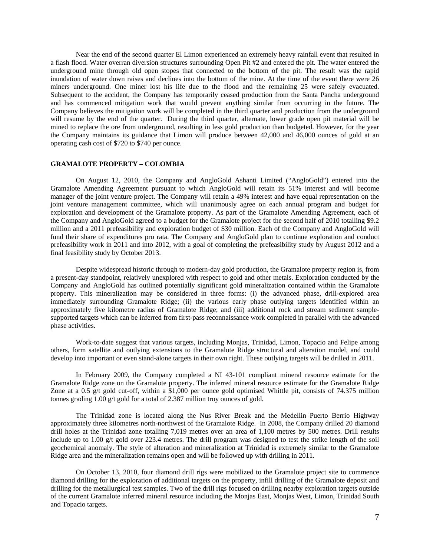Near the end of the second quarter El Limon experienced an extremely heavy rainfall event that resulted in a flash flood. Water overran diversion structures surrounding Open Pit #2 and entered the pit. The water entered the underground mine through old open stopes that connected to the bottom of the pit. The result was the rapid inundation of water down raises and declines into the bottom of the mine. At the time of the event there were 26 miners underground. One miner lost his life due to the flood and the remaining 25 were safely evacuated. Subsequent to the accident, the Company has temporarily ceased production from the Santa Pancha underground and has commenced mitigation work that would prevent anything similar from occurring in the future. The Company believes the mitigation work will be completed in the third quarter and production from the underground will resume by the end of the quarter. During the third quarter, alternate, lower grade open pit material will be mined to replace the ore from underground, resulting in less gold production than budgeted. However, for the year the Company maintains its guidance that Limon will produce between 42,000 and 46,000 ounces of gold at an operating cash cost of \$720 to \$740 per ounce.

### **GRAMALOTE PROPERTY – COLOMBIA**

On August 12, 2010, the Company and AngloGold Ashanti Limited ("AngloGold") entered into the Gramalote Amending Agreement pursuant to which AngloGold will retain its 51% interest and will become manager of the joint venture project. The Company will retain a 49% interest and have equal representation on the joint venture management committee, which will unanimously agree on each annual program and budget for exploration and development of the Gramalote property. As part of the Gramalote Amending Agreement, each of the Company and AngloGold agreed to a budget for the Gramalote project for the second half of 2010 totalling \$9.2 million and a 2011 prefeasibility and exploration budget of \$30 million. Each of the Company and AngloGold will fund their share of expenditures pro rata. The Company and AngloGold plan to continue exploration and conduct prefeasibility work in 2011 and into 2012, with a goal of completing the prefeasibility study by August 2012 and a final feasibility study by October 2013.

Despite widespread historic through to modern-day gold production, the Gramalote property region is, from a present-day standpoint, relatively unexplored with respect to gold and other metals. Exploration conducted by the Company and AngloGold has outlined potentially significant gold mineralization contained within the Gramalote property. This mineralization may be considered in three forms: (i) the advanced phase, drill-explored area immediately surrounding Gramalote Ridge; (ii) the various early phase outlying targets identified within an approximately five kilometre radius of Gramalote Ridge; and (iii) additional rock and stream sediment samplesupported targets which can be inferred from first-pass reconnaissance work completed in parallel with the advanced phase activities.

Work-to-date suggest that various targets, including Monjas, Trinidad, Limon, Topacio and Felipe among others, form satellite and outlying extensions to the Gramalote Ridge structural and alteration model, and could develop into important or even stand-alone targets in their own right. These outlying targets will be drilled in 2011.

In February 2009, the Company completed a NI 43-101 compliant mineral resource estimate for the Gramalote Ridge zone on the Gramalote property. The inferred mineral resource estimate for the Gramalote Ridge Zone at a 0.5 g/t gold cut-off, within a \$1,000 per ounce gold optimised Whittle pit, consists of 74.375 million tonnes grading 1.00 g/t gold for a total of 2.387 million troy ounces of gold.

The Trinidad zone is located along the Nus River Break and the Medellin–Puerto Berrio Highway approximately three kilometres north-northwest of the Gramalote Ridge. In 2008, the Company drilled 20 diamond drill holes at the Trinidad zone totalling 7,019 metres over an area of 1,100 metres by 500 metres. Drill results include up to 1.00 g/t gold over 223.4 metres. The drill program was designed to test the strike length of the soil geochemical anomaly. The style of alteration and mineralization at Trinidad is extremely similar to the Gramalote Ridge area and the mineralization remains open and will be followed up with drilling in 2011.

On October 13, 2010, four diamond drill rigs were mobilized to the Gramalote project site to commence diamond drilling for the exploration of additional targets on the property, infill drilling of the Gramalote deposit and drilling for the metallurgical test samples. Two of the drill rigs focused on drilling nearby exploration targets outside of the current Gramalote inferred mineral resource including the Monjas East, Monjas West, Limon, Trinidad South and Topacio targets.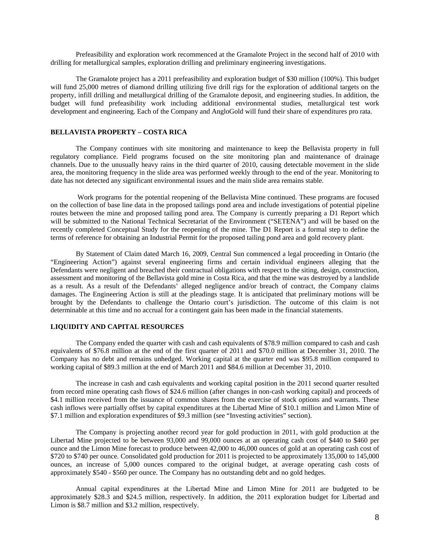Prefeasibility and exploration work recommenced at the Gramalote Project in the second half of 2010 with drilling for metallurgical samples, exploration drilling and preliminary engineering investigations.

The Gramalote project has a 2011 prefeasibility and exploration budget of \$30 million (100%). This budget will fund 25,000 metres of diamond drilling utilizing five drill rigs for the exploration of additional targets on the property, infill drilling and metallurgical drilling of the Gramalote deposit, and engineering studies. In addition, the budget will fund prefeasibility work including additional environmental studies, metallurgical test work development and engineering. Each of the Company and AngloGold will fund their share of expenditures pro rata.

# **BELLAVISTA PROPERTY – COSTA RICA**

The Company continues with site monitoring and maintenance to keep the Bellavista property in full regulatory compliance. Field programs focused on the site monitoring plan and maintenance of drainage channels. Due to the unusually heavy rains in the third quarter of 2010, causing detectable movement in the slide area, the monitoring frequency in the slide area was performed weekly through to the end of the year. Monitoring to date has not detected any significant environmental issues and the main slide area remains stable.

 Work programs for the potential reopening of the Bellavista Mine continued. These programs are focused on the collection of base line data in the proposed tailings pond area and include investigations of potential pipeline routes between the mine and proposed tailing pond area. The Company is currently preparing a D1 Report which will be submitted to the National Technical Secretariat of the Environment ("SETENA") and will be based on the recently completed Conceptual Study for the reopening of the mine. The D1 Report is a formal step to define the terms of reference for obtaining an Industrial Permit for the proposed tailing pond area and gold recovery plant.

By Statement of Claim dated March 16, 2009, Central Sun commenced a legal proceeding in Ontario (the "Engineering Action") against several engineering firms and certain individual engineers alleging that the Defendants were negligent and breached their contractual obligations with respect to the siting, design, construction, assessment and monitoring of the Bellavista gold mine in Costa Rica, and that the mine was destroyed by a landslide as a result. As a result of the Defendants' alleged negligence and/or breach of contract, the Company claims damages. The Engineering Action is still at the pleadings stage. It is anticipated that preliminary motions will be brought by the Defendants to challenge the Ontario court's jurisdiction. The outcome of this claim is not determinable at this time and no accrual for a contingent gain has been made in the financial statements.

### **LIQUIDITY AND CAPITAL RESOURCES**

The Company ended the quarter with cash and cash equivalents of \$78.9 million compared to cash and cash equivalents of \$76.8 million at the end of the first quarter of 2011 and \$70.0 million at December 31, 2010. The Company has no debt and remains unhedged. Working capital at the quarter end was \$95.8 million compared to working capital of \$89.3 million at the end of March 2011 and \$84.6 million at December 31, 2010.

The increase in cash and cash equivalents and working capital position in the 2011 second quarter resulted from record mine operating cash flows of \$24.6 million (after changes in non-cash working capital) and proceeds of \$4.1 million received from the issuance of common shares from the exercise of stock options and warrants. These cash inflows were partially offset by capital expenditures at the Libertad Mine of \$10.1 million and Limon Mine of \$7.1 million and exploration expenditures of \$9.3 million (see "Investing activities" section).

The Company is projecting another record year for gold production in 2011, with gold production at the Libertad Mine projected to be between 93,000 and 99,000 ounces at an operating cash cost of \$440 to \$460 per ounce and the Limon Mine forecast to produce between 42,000 to 46,000 ounces of gold at an operating cash cost of \$720 to \$740 per ounce. Consolidated gold production for 2011 is projected to be approximately 135,000 to 145,000 ounces, an increase of 5,000 ounces compared to the original budget, at average operating cash costs of approximately \$540 - \$560 per ounce. The Company has no outstanding debt and no gold hedges.

Annual capital expenditures at the Libertad Mine and Limon Mine for 2011 are budgeted to be approximately \$28.3 and \$24.5 million, respectively. In addition, the 2011 exploration budget for Libertad and Limon is \$8.7 million and \$3.2 million, respectively.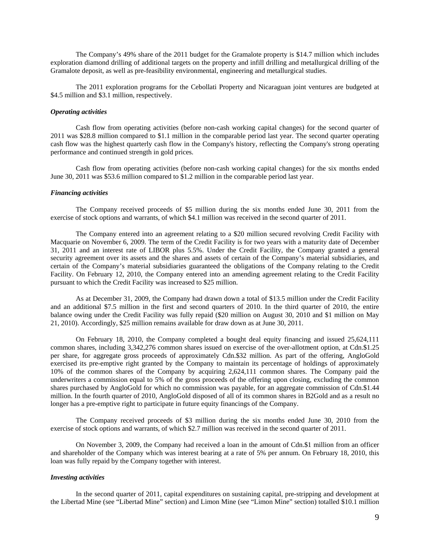The Company's 49% share of the 2011 budget for the Gramalote property is \$14.7 million which includes exploration diamond drilling of additional targets on the property and infill drilling and metallurgical drilling of the Gramalote deposit, as well as pre-feasibility environmental, engineering and metallurgical studies.

The 2011 exploration programs for the Cebollati Property and Nicaraguan joint ventures are budgeted at \$4.5 million and \$3.1 million, respectively.

### *Operating activities*

Cash flow from operating activities (before non-cash working capital changes) for the second quarter of 2011 was \$28.8 million compared to \$1.1 million in the comparable period last year. The second quarter operating cash flow was the highest quarterly cash flow in the Company's history, reflecting the Company's strong operating performance and continued strength in gold prices.

Cash flow from operating activities (before non-cash working capital changes) for the six months ended June 30, 2011 was \$53.6 million compared to \$1.2 million in the comparable period last year.

### *Financing activities*

The Company received proceeds of \$5 million during the six months ended June 30, 2011 from the exercise of stock options and warrants, of which \$4.1 million was received in the second quarter of 2011.

The Company entered into an agreement relating to a \$20 million secured revolving Credit Facility with Macquarie on November 6, 2009. The term of the Credit Facility is for two years with a maturity date of December 31, 2011 and an interest rate of LIBOR plus 5.5%. Under the Credit Facility, the Company granted a general security agreement over its assets and the shares and assets of certain of the Company's material subsidiaries, and certain of the Company's material subsidiaries guaranteed the obligations of the Company relating to the Credit Facility. On February 12, 2010, the Company entered into an amending agreement relating to the Credit Facility pursuant to which the Credit Facility was increased to \$25 million.

As at December 31, 2009, the Company had drawn down a total of \$13.5 million under the Credit Facility and an additional \$7.5 million in the first and second quarters of 2010. In the third quarter of 2010, the entire balance owing under the Credit Facility was fully repaid (\$20 million on August 30, 2010 and \$1 million on May 21, 2010). Accordingly, \$25 million remains available for draw down as at June 30, 2011.

On February 18, 2010, the Company completed a bought deal equity financing and issued 25,624,111 common shares, including 3,342,276 common shares issued on exercise of the over-allotment option, at Cdn.\$1.25 per share, for aggregate gross proceeds of approximately Cdn.\$32 million. As part of the offering, AngloGold exercised its pre-emptive right granted by the Company to maintain its percentage of holdings of approximately 10% of the common shares of the Company by acquiring 2,624,111 common shares. The Company paid the underwriters a commission equal to 5% of the gross proceeds of the offering upon closing, excluding the common shares purchased by AngloGold for which no commission was payable, for an aggregate commission of Cdn.\$1.44 million. In the fourth quarter of 2010, AngloGold disposed of all of its common shares in B2Gold and as a result no longer has a pre-emptive right to participate in future equity financings of the Company.

The Company received proceeds of \$3 million during the six months ended June 30, 2010 from the exercise of stock options and warrants, of which \$2.7 million was received in the second quarter of 2011.

On November 3, 2009, the Company had received a loan in the amount of Cdn.\$1 million from an officer and shareholder of the Company which was interest bearing at a rate of 5% per annum. On February 18, 2010, this loan was fully repaid by the Company together with interest.

### *Investing activities*

In the second quarter of 2011, capital expenditures on sustaining capital, pre-stripping and development at the Libertad Mine (see "Libertad Mine" section) and Limon Mine (see "Limon Mine" section) totalled \$10.1 million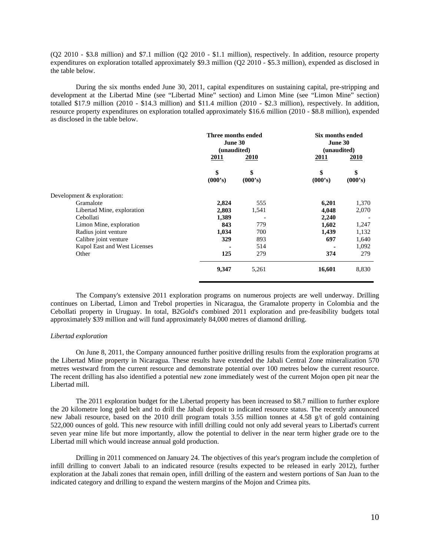(Q2 2010 - \$3.8 million) and \$7.1 million (Q2 2010 - \$1.1 million), respectively. In addition, resource property expenditures on exploration totalled approximately \$9.3 million (Q2 2010 - \$5.3 million), expended as disclosed in the table below.

During the six months ended June 30, 2011, capital expenditures on sustaining capital, pre-stripping and development at the Libertad Mine (see "Libertad Mine" section) and Limon Mine (see "Limon Mine" section) totalled \$17.9 million (2010 - \$14.3 million) and \$11.4 million (2010 - \$2.3 million), respectively. In addition, resource property expenditures on exploration totalled approximately \$16.6 million (2010 - \$8.8 million), expended as disclosed in the table below.

|                              | Three months ended<br>June 30<br>(unaudited)<br>2011<br>2010 |               | Six months ended<br>June 30<br>(unaudited)<br>2010<br>2011 |               |
|------------------------------|--------------------------------------------------------------|---------------|------------------------------------------------------------|---------------|
|                              | \$<br>(000's)                                                | \$<br>(000's) | \$<br>(000's)                                              | \$<br>(000's) |
| Development & exploration:   |                                                              |               |                                                            |               |
| Gramalote                    | 2,824                                                        | 555           | 6,201                                                      | 1,370         |
| Libertad Mine, exploration   | 2,803                                                        | 1,541         | 4,048                                                      | 2,070         |
| Cebollati                    | 1,389                                                        |               | 2,240                                                      |               |
| Limon Mine, exploration      | 843                                                          | 779           | 1,602                                                      | 1,247         |
| Radius joint venture         | 1,034                                                        | 700           | 1,439                                                      | 1,132         |
| Calibre joint venture        | 329                                                          | 893           | 697                                                        | 1,640         |
| Kupol East and West Licenses |                                                              | 514           |                                                            | 1,092         |
| Other                        | 125                                                          | 279           | 374                                                        | 279           |
|                              | 9,347                                                        | 5,261         | 16,601                                                     | 8,830         |

The Company's extensive 2011 exploration programs on numerous projects are well underway. Drilling continues on Libertad, Limon and Trebol properties in Nicaragua, the Gramalote property in Colombia and the Cebollati property in Uruguay. In total, B2Gold's combined 2011 exploration and pre-feasibility budgets total approximately \$39 million and will fund approximately 84,000 metres of diamond drilling.

### *Libertad exploration*

On June 8, 2011, the Company announced further positive drilling results from the exploration programs at the Libertad Mine property in Nicaragua. These results have extended the Jabali Central Zone mineralization 570 metres westward from the current resource and demonstrate potential over 100 metres below the current resource. The recent drilling has also identified a potential new zone immediately west of the current Mojon open pit near the Libertad mill.

The 2011 exploration budget for the Libertad property has been increased to \$8.7 million to further explore the 20 kilometre long gold belt and to drill the Jabali deposit to indicated resource status. The recently announced new Jabali resource, based on the 2010 drill program totals 3.55 million tonnes at 4.58 g/t of gold containing 522,000 ounces of gold. This new resource with infill drilling could not only add several years to Libertad's current seven year mine life but more importantly, allow the potential to deliver in the near term higher grade ore to the Libertad mill which would increase annual gold production.

Drilling in 2011 commenced on January 24. The objectives of this year's program include the completion of infill drilling to convert Jabali to an indicated resource (results expected to be released in early 2012), further exploration at the Jabali zones that remain open, infill drilling of the eastern and western portions of San Juan to the indicated category and drilling to expand the western margins of the Mojon and Crimea pits.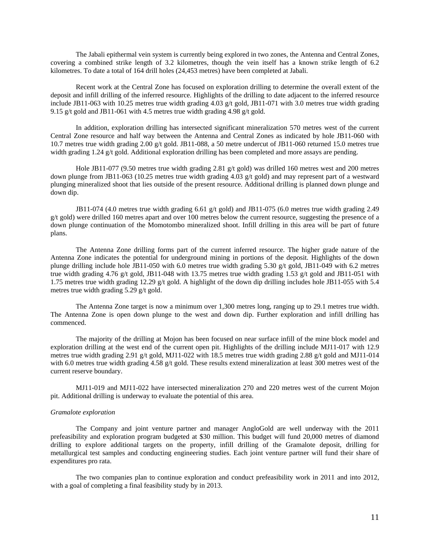The Jabali epithermal vein system is currently being explored in two zones, the Antenna and Central Zones, covering a combined strike length of 3.2 kilometres, though the vein itself has a known strike length of 6.2 kilometres. To date a total of 164 drill holes (24,453 metres) have been completed at Jabali.

Recent work at the Central Zone has focused on exploration drilling to determine the overall extent of the deposit and infill drilling of the inferred resource. Highlights of the drilling to date adjacent to the inferred resource include JB11-063 with 10.25 metres true width grading 4.03 g/t gold, JB11-071 with 3.0 metres true width grading 9.15 g/t gold and JB11-061 with 4.5 metres true width grading 4.98 g/t gold.

In addition, exploration drilling has intersected significant mineralization 570 metres west of the current Central Zone resource and half way between the Antenna and Central Zones as indicated by hole JB11-060 with 10.7 metres true width grading 2.00 g/t gold. JB11-088, a 50 metre undercut of JB11-060 returned 15.0 metres true width grading 1.24 g/t gold. Additional exploration drilling has been completed and more assays are pending.

Hole JB11-077 (9.50 metres true width grading 2.81 g/t gold) was drilled 160 metres west and 200 metres down plunge from JB11-063 (10.25 metres true width grading 4.03 g/t gold) and may represent part of a westward plunging mineralized shoot that lies outside of the present resource. Additional drilling is planned down plunge and down dip.

JB11-074 (4.0 metres true width grading 6.61 g/t gold) and JB11-075 (6.0 metres true width grading 2.49 g/t gold) were drilled 160 metres apart and over 100 metres below the current resource, suggesting the presence of a down plunge continuation of the Momotombo mineralized shoot. Infill drilling in this area will be part of future plans.

The Antenna Zone drilling forms part of the current inferred resource. The higher grade nature of the Antenna Zone indicates the potential for underground mining in portions of the deposit. Highlights of the down plunge drilling include hole JB11-050 with 6.0 metres true width grading 5.30 g/t gold, JB11-049 with 6.2 metres true width grading 4.76 g/t gold, JB11-048 with 13.75 metres true width grading 1.53 g/t gold and JB11-051 with 1.75 metres true width grading 12.29 g/t gold. A highlight of the down dip drilling includes hole JB11-055 with 5.4 metres true width grading 5.29 g/t gold.

The Antenna Zone target is now a minimum over 1,300 metres long, ranging up to 29.1 metres true width. The Antenna Zone is open down plunge to the west and down dip. Further exploration and infill drilling has commenced.

The majority of the drilling at Mojon has been focused on near surface infill of the mine block model and exploration drilling at the west end of the current open pit. Highlights of the drilling include MJ11-017 with 12.9 metres true width grading 2.91 g/t gold, MJ11-022 with 18.5 metres true width grading 2.88 g/t gold and MJ11-014 with 6.0 metres true width grading 4.58 g/t gold. These results extend mineralization at least 300 metres west of the current reserve boundary.

MJ11-019 and MJ11-022 have intersected mineralization 270 and 220 metres west of the current Mojon pit. Additional drilling is underway to evaluate the potential of this area.

#### *Gramalote exploration*

The Company and joint venture partner and manager AngloGold are well underway with the 2011 prefeasibility and exploration program budgeted at \$30 million. This budget will fund 20,000 metres of diamond drilling to explore additional targets on the property, infill drilling of the Gramalote deposit, drilling for metallurgical test samples and conducting engineering studies. Each joint venture partner will fund their share of expenditures pro rata.

The two companies plan to continue exploration and conduct prefeasibility work in 2011 and into 2012, with a goal of completing a final feasibility study by in 2013.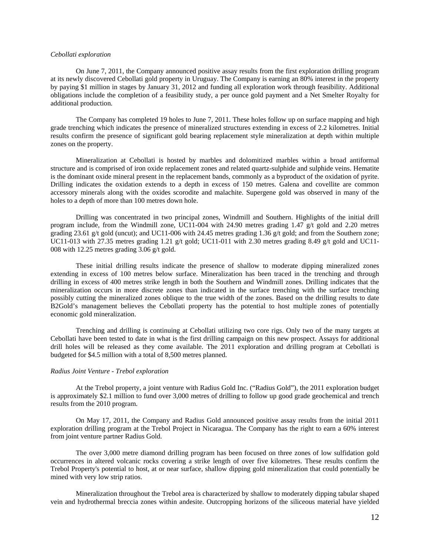### *Cebollati exploration*

On June 7, 2011, the Company announced positive assay results from the first exploration drilling program at its newly discovered Cebollati gold property in Uruguay. The Company is earning an 80% interest in the property by paying \$1 million in stages by January 31, 2012 and funding all exploration work through feasibility. Additional obligations include the completion of a feasibility study, a per ounce gold payment and a Net Smelter Royalty for additional production.

The Company has completed 19 holes to June 7, 2011. These holes follow up on surface mapping and high grade trenching which indicates the presence of mineralized structures extending in excess of 2.2 kilometres. Initial results confirm the presence of significant gold bearing replacement style mineralization at depth within multiple zones on the property.

Mineralization at Cebollati is hosted by marbles and dolomitized marbles within a broad antiformal structure and is comprised of iron oxide replacement zones and related quartz-sulphide and sulphide veins. Hematite is the dominant oxide mineral present in the replacement bands, commonly as a byproduct of the oxidation of pyrite. Drilling indicates the oxidation extends to a depth in excess of 150 metres. Galena and covellite are common accessory minerals along with the oxides scorodite and malachite. Supergene gold was observed in many of the holes to a depth of more than 100 metres down hole.

Drilling was concentrated in two principal zones, Windmill and Southern. Highlights of the initial drill program include, from the Windmill zone, UC11-004 with 24.90 metres grading  $1.47$  g/t gold and 2.20 metres grading 23.61 g/t gold (uncut); and UC11-006 with 24.45 metres grading 1.36 g/t gold; and from the Southern zone; UC11-013 with 27.35 metres grading 1.21 g/t gold; UC11-011 with 2.30 metres grading 8.49 g/t gold and UC11-008 with 12.25 metres grading 3.06 g/t gold.

These initial drilling results indicate the presence of shallow to moderate dipping mineralized zones extending in excess of 100 metres below surface. Mineralization has been traced in the trenching and through drilling in excess of 400 metres strike length in both the Southern and Windmill zones. Drilling indicates that the mineralization occurs in more discrete zones than indicated in the surface trenching with the surface trenching possibly cutting the mineralized zones oblique to the true width of the zones. Based on the drilling results to date B2Gold's management believes the Cebollati property has the potential to host multiple zones of potentially economic gold mineralization.

Trenching and drilling is continuing at Cebollati utilizing two core rigs. Only two of the many targets at Cebollati have been tested to date in what is the first drilling campaign on this new prospect. Assays for additional drill holes will be released as they come available. The 2011 exploration and drilling program at Cebollati is budgeted for \$4.5 million with a total of 8,500 metres planned.

#### *Radius Joint Venture - Trebol exploration*

At the Trebol property, a joint venture with Radius Gold Inc. ("Radius Gold"), the 2011 exploration budget is approximately \$2.1 million to fund over 3,000 metres of drilling to follow up good grade geochemical and trench results from the 2010 program.

On May 17, 2011, the Company and Radius Gold announced positive assay results from the initial 2011 exploration drilling program at the Trebol Project in Nicaragua. The Company has the right to earn a 60% interest from joint venture partner Radius Gold.

The over 3,000 metre diamond drilling program has been focused on three zones of low sulfidation gold occurrences in altered volcanic rocks covering a strike length of over five kilometres. These results confirm the Trebol Property's potential to host, at or near surface, shallow dipping gold mineralization that could potentially be mined with very low strip ratios.

Mineralization throughout the Trebol area is characterized by shallow to moderately dipping tabular shaped vein and hydrothermal breccia zones within andesite. Outcropping horizons of the siliceous material have yielded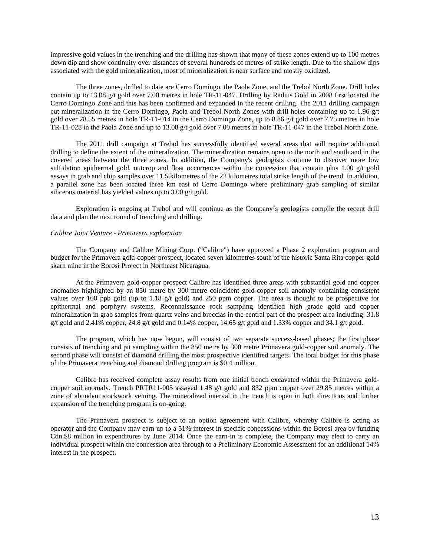impressive gold values in the trenching and the drilling has shown that many of these zones extend up to 100 metres down dip and show continuity over distances of several hundreds of metres of strike length. Due to the shallow dips associated with the gold mineralization, most of mineralization is near surface and mostly oxidized.

The three zones, drilled to date are Cerro Domingo, the Paola Zone, and the Trebol North Zone. Drill holes contain up to 13.08 g/t gold over 7.00 metres in hole TR-11-047. Drilling by Radius Gold in 2008 first located the Cerro Domingo Zone and this has been confirmed and expanded in the recent drilling. The 2011 drilling campaign cut mineralization in the Cerro Domingo, Paola and Trebol North Zones with drill holes containing up to 1.96 g/t gold over 28.55 metres in hole TR-11-014 in the Cerro Domingo Zone, up to 8.86 g/t gold over 7.75 metres in hole TR-11-028 in the Paola Zone and up to 13.08 g/t gold over 7.00 metres in hole TR-11-047 in the Trebol North Zone.

The 2011 drill campaign at Trebol has successfully identified several areas that will require additional drilling to define the extent of the mineralization. The mineralization remains open to the north and south and in the covered areas between the three zones. In addition, the Company's geologists continue to discover more low sulfidation epithermal gold, outcrop and float occurrences within the concession that contain plus  $1.00 \text{ g/t}$  gold assays in grab and chip samples over 11.5 kilometres of the 22 kilometres total strike length of the trend. In addition, a parallel zone has been located three km east of Cerro Domingo where preliminary grab sampling of similar siliceous material has yielded values up to 3.00 g/t gold.

Exploration is ongoing at Trebol and will continue as the Company's geologists compile the recent drill data and plan the next round of trenching and drilling.

### *Calibre Joint Venture - Primavera exploration*

The Company and Calibre Mining Corp. ("Calibre") have approved a Phase 2 exploration program and budget for the Primavera gold-copper prospect, located seven kilometres south of the historic Santa Rita copper-gold skarn mine in the Borosi Project in Northeast Nicaragua.

At the Primavera gold-copper prospect Calibre has identified three areas with substantial gold and copper anomalies highlighted by an 850 metre by 300 metre coincident gold-copper soil anomaly containing consistent values over 100 ppb gold (up to 1.18 g/t gold) and 250 ppm copper. The area is thought to be prospective for epithermal and porphyry systems. Reconnaissance rock sampling identified high grade gold and copper mineralization in grab samples from quartz veins and breccias in the central part of the prospect area including: 31.8 g/t gold and 2.41% copper, 24.8 g/t gold and 0.14% copper, 14.65 g/t gold and 1.33% copper and 34.1 g/t gold.

The program, which has now begun, will consist of two separate success-based phases; the first phase consists of trenching and pit sampling within the 850 metre by 300 metre Primavera gold-copper soil anomaly. The second phase will consist of diamond drilling the most prospective identified targets. The total budget for this phase of the Primavera trenching and diamond drilling program is \$0.4 million.

Calibre has received complete assay results from one initial trench excavated within the Primavera goldcopper soil anomaly. Trench PRTR11-005 assayed 1.48 g/t gold and 832 ppm copper over 29.85 metres within a zone of abundant stockwork veining. The mineralized interval in the trench is open in both directions and further expansion of the trenching program is on-going.

The Primavera prospect is subject to an option agreement with Calibre, whereby Calibre is acting as operator and the Company may earn up to a 51% interest in specific concessions within the Borosi area by funding Cdn.\$8 million in expenditures by June 2014. Once the earn-in is complete, the Company may elect to carry an individual prospect within the concession area through to a Preliminary Economic Assessment for an additional 14% interest in the prospect.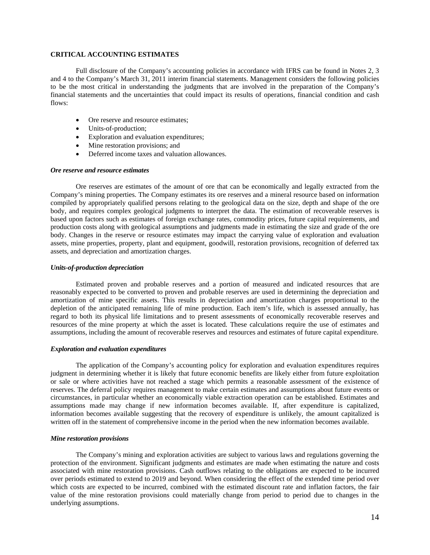### **CRITICAL ACCOUNTING ESTIMATES**

Full disclosure of the Company's accounting policies in accordance with IFRS can be found in Notes 2, 3 and 4 to the Company's March 31, 2011 interim financial statements. Management considers the following policies to be the most critical in understanding the judgments that are involved in the preparation of the Company's financial statements and the uncertainties that could impact its results of operations, financial condition and cash flows:

- Ore reserve and resource estimates;
- Units-of-production;
- Exploration and evaluation expenditures;
- Mine restoration provisions; and
- Deferred income taxes and valuation allowances.

#### *Ore reserve and resource estimates*

Ore reserves are estimates of the amount of ore that can be economically and legally extracted from the Company's mining properties. The Company estimates its ore reserves and a mineral resource based on information compiled by appropriately qualified persons relating to the geological data on the size, depth and shape of the ore body, and requires complex geological judgments to interpret the data. The estimation of recoverable reserves is based upon factors such as estimates of foreign exchange rates, commodity prices, future capital requirements, and production costs along with geological assumptions and judgments made in estimating the size and grade of the ore body. Changes in the reserve or resource estimates may impact the carrying value of exploration and evaluation assets, mine properties, property, plant and equipment, goodwill, restoration provisions, recognition of deferred tax assets, and depreciation and amortization charges.

#### *Units-of-production depreciation*

Estimated proven and probable reserves and a portion of measured and indicated resources that are reasonably expected to be converted to proven and probable reserves are used in determining the depreciation and amortization of mine specific assets. This results in depreciation and amortization charges proportional to the depletion of the anticipated remaining life of mine production. Each item's life, which is assessed annually, has regard to both its physical life limitations and to present assessments of economically recoverable reserves and resources of the mine property at which the asset is located. These calculations require the use of estimates and assumptions, including the amount of recoverable reserves and resources and estimates of future capital expenditure.

#### *Exploration and evaluation expenditures*

The application of the Company's accounting policy for exploration and evaluation expenditures requires judgment in determining whether it is likely that future economic benefits are likely either from future exploitation or sale or where activities have not reached a stage which permits a reasonable assessment of the existence of reserves. The deferral policy requires management to make certain estimates and assumptions about future events or circumstances, in particular whether an economically viable extraction operation can be established. Estimates and assumptions made may change if new information becomes available. If, after expenditure is capitalized, information becomes available suggesting that the recovery of expenditure is unlikely, the amount capitalized is written off in the statement of comprehensive income in the period when the new information becomes available.

### *Mine restoration provisions*

The Company's mining and exploration activities are subject to various laws and regulations governing the protection of the environment. Significant judgments and estimates are made when estimating the nature and costs associated with mine restoration provisions. Cash outflows relating to the obligations are expected to be incurred over periods estimated to extend to 2019 and beyond. When considering the effect of the extended time period over which costs are expected to be incurred, combined with the estimated discount rate and inflation factors, the fair value of the mine restoration provisions could materially change from period to period due to changes in the underlying assumptions.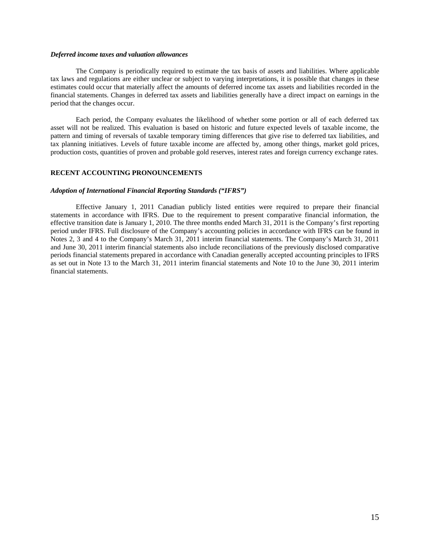### *Deferred income taxes and valuation allowances*

The Company is periodically required to estimate the tax basis of assets and liabilities. Where applicable tax laws and regulations are either unclear or subject to varying interpretations, it is possible that changes in these estimates could occur that materially affect the amounts of deferred income tax assets and liabilities recorded in the financial statements. Changes in deferred tax assets and liabilities generally have a direct impact on earnings in the period that the changes occur.

Each period, the Company evaluates the likelihood of whether some portion or all of each deferred tax asset will not be realized. This evaluation is based on historic and future expected levels of taxable income, the pattern and timing of reversals of taxable temporary timing differences that give rise to deferred tax liabilities, and tax planning initiatives. Levels of future taxable income are affected by, among other things, market gold prices, production costs, quantities of proven and probable gold reserves, interest rates and foreign currency exchange rates.

### **RECENT ACCOUNTING PRONOUNCEMENTS**

#### *Adoption of International Financial Reporting Standards ("IFRS")*

Effective January 1, 2011 Canadian publicly listed entities were required to prepare their financial statements in accordance with IFRS. Due to the requirement to present comparative financial information, the effective transition date is January 1, 2010. The three months ended March 31, 2011 is the Company's first reporting period under IFRS. Full disclosure of the Company's accounting policies in accordance with IFRS can be found in Notes 2, 3 and 4 to the Company's March 31, 2011 interim financial statements. The Company's March 31, 2011 and June 30, 2011 interim financial statements also include reconciliations of the previously disclosed comparative periods financial statements prepared in accordance with Canadian generally accepted accounting principles to IFRS as set out in Note 13 to the March 31, 2011 interim financial statements and Note 10 to the June 30, 2011 interim financial statements.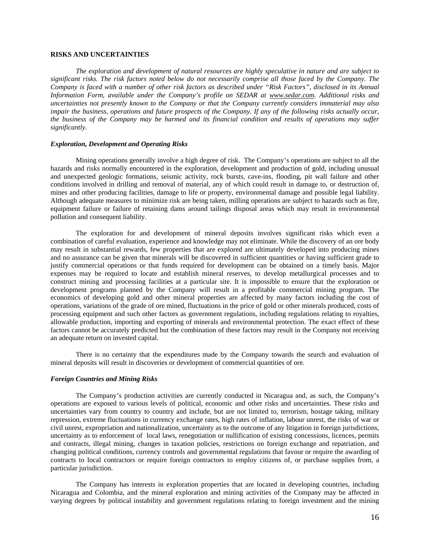### **RISKS AND UNCERTAINTIES**

*The exploration and development of natural resources are highly speculative in nature and are subject to significant risks. The risk factors noted below do not necessarily comprise all those faced by the Company. The Company is faced with a number of other risk factors as described under "Risk Factors", disclosed in its Annual Information Form, available under the Company's profile on SEDAR at www.sedar.com. Additional risks and uncertainties not presently known to the Company or that the Company currently considers immaterial may also impair the business, operations and future prospects of the Company. If any of the following risks actually occur, the business of the Company may be harmed and its financial condition and results of operations may suffer significantly.* 

### *Exploration, Development and Operating Risks*

Mining operations generally involve a high degree of risk. The Company's operations are subject to all the hazards and risks normally encountered in the exploration, development and production of gold, including unusual and unexpected geologic formations, seismic activity, rock bursts, cave-ins, flooding, pit wall failure and other conditions involved in drilling and removal of material, any of which could result in damage to, or destruction of, mines and other producing facilities, damage to life or property, environmental damage and possible legal liability. Although adequate measures to minimize risk are being taken, milling operations are subject to hazards such as fire, equipment failure or failure of retaining dams around tailings disposal areas which may result in environmental pollution and consequent liability.

The exploration for and development of mineral deposits involves significant risks which even a combination of careful evaluation, experience and knowledge may not eliminate. While the discovery of an ore body may result in substantial rewards, few properties that are explored are ultimately developed into producing mines and no assurance can be given that minerals will be discovered in sufficient quantities or having sufficient grade to justify commercial operations or that funds required for development can be obtained on a timely basis. Major expenses may be required to locate and establish mineral reserves, to develop metallurgical processes and to construct mining and processing facilities at a particular site. It is impossible to ensure that the exploration or development programs planned by the Company will result in a profitable commercial mining program. The economics of developing gold and other mineral properties are affected by many factors including the cost of operations, variations of the grade of ore mined, fluctuations in the price of gold or other minerals produced, costs of processing equipment and such other factors as government regulations, including regulations relating to royalties, allowable production, importing and exporting of minerals and environmental protection. The exact effect of these factors cannot be accurately predicted but the combination of these factors may result in the Company not receiving an adequate return on invested capital.

There is no certainty that the expenditures made by the Company towards the search and evaluation of mineral deposits will result in discoveries or development of commercial quantities of ore.

#### *Foreign Countries and Mining Risks*

The Company's production activities are currently conducted in Nicaragua and, as such, the Company's operations are exposed to various levels of political, economic and other risks and uncertainties. These risks and uncertainties vary from country to country and include, but are not limited to, terrorism, hostage taking, military repression, extreme fluctuations in currency exchange rates, high rates of inflation, labour unrest, the risks of war or civil unrest, expropriation and nationalization, uncertainty as to the outcome of any litigation in foreign jurisdictions, uncertainty as to enforcement of local laws, renegotiation or nullification of existing concessions, licences, permits and contracts, illegal mining, changes in taxation policies, restrictions on foreign exchange and repatriation, and changing political conditions, currency controls and governmental regulations that favour or require the awarding of contracts to local contractors or require foreign contractors to employ citizens of, or purchase supplies from, a particular jurisdiction.

The Company has interests in exploration properties that are located in developing countries, including Nicaragua and Colombia, and the mineral exploration and mining activities of the Company may be affected in varying degrees by political instability and government regulations relating to foreign investment and the mining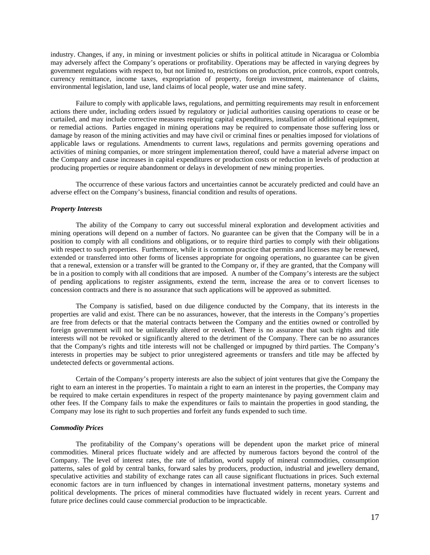industry. Changes, if any, in mining or investment policies or shifts in political attitude in Nicaragua or Colombia may adversely affect the Company's operations or profitability. Operations may be affected in varying degrees by government regulations with respect to, but not limited to, restrictions on production, price controls, export controls, currency remittance, income taxes, expropriation of property, foreign investment, maintenance of claims, environmental legislation, land use, land claims of local people, water use and mine safety.

Failure to comply with applicable laws, regulations, and permitting requirements may result in enforcement actions there under, including orders issued by regulatory or judicial authorities causing operations to cease or be curtailed, and may include corrective measures requiring capital expenditures, installation of additional equipment, or remedial actions. Parties engaged in mining operations may be required to compensate those suffering loss or damage by reason of the mining activities and may have civil or criminal fines or penalties imposed for violations of applicable laws or regulations. Amendments to current laws, regulations and permits governing operations and activities of mining companies, or more stringent implementation thereof, could have a material adverse impact on the Company and cause increases in capital expenditures or production costs or reduction in levels of production at producing properties or require abandonment or delays in development of new mining properties.

The occurrence of these various factors and uncertainties cannot be accurately predicted and could have an adverse effect on the Company's business, financial condition and results of operations.

#### *Property Interests*

The ability of the Company to carry out successful mineral exploration and development activities and mining operations will depend on a number of factors. No guarantee can be given that the Company will be in a position to comply with all conditions and obligations, or to require third parties to comply with their obligations with respect to such properties. Furthermore, while it is common practice that permits and licenses may be renewed, extended or transferred into other forms of licenses appropriate for ongoing operations, no guarantee can be given that a renewal, extension or a transfer will be granted to the Company or, if they are granted, that the Company will be in a position to comply with all conditions that are imposed. A number of the Company's interests are the subject of pending applications to register assignments, extend the term, increase the area or to convert licenses to concession contracts and there is no assurance that such applications will be approved as submitted.

The Company is satisfied, based on due diligence conducted by the Company, that its interests in the properties are valid and exist. There can be no assurances, however, that the interests in the Company's properties are free from defects or that the material contracts between the Company and the entities owned or controlled by foreign government will not be unilaterally altered or revoked. There is no assurance that such rights and title interests will not be revoked or significantly altered to the detriment of the Company. There can be no assurances that the Company's rights and title interests will not be challenged or impugned by third parties. The Company's interests in properties may be subject to prior unregistered agreements or transfers and title may be affected by undetected defects or governmental actions.

Certain of the Company's property interests are also the subject of joint ventures that give the Company the right to earn an interest in the properties. To maintain a right to earn an interest in the properties, the Company may be required to make certain expenditures in respect of the property maintenance by paying government claim and other fees. If the Company fails to make the expenditures or fails to maintain the properties in good standing, the Company may lose its right to such properties and forfeit any funds expended to such time.

### *Commodity Prices*

The profitability of the Company's operations will be dependent upon the market price of mineral commodities. Mineral prices fluctuate widely and are affected by numerous factors beyond the control of the Company. The level of interest rates, the rate of inflation, world supply of mineral commodities, consumption patterns, sales of gold by central banks, forward sales by producers, production, industrial and jewellery demand, speculative activities and stability of exchange rates can all cause significant fluctuations in prices. Such external economic factors are in turn influenced by changes in international investment patterns, monetary systems and political developments. The prices of mineral commodities have fluctuated widely in recent years. Current and future price declines could cause commercial production to be impracticable.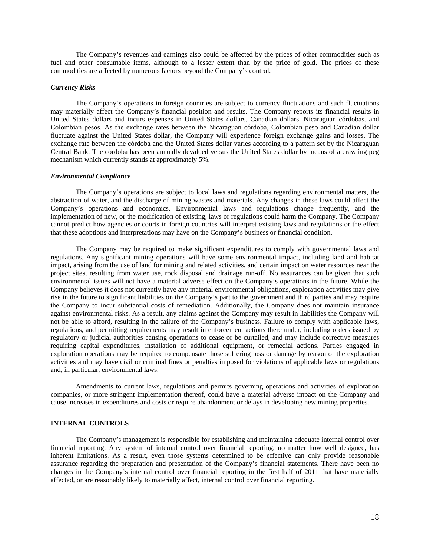The Company's revenues and earnings also could be affected by the prices of other commodities such as fuel and other consumable items, although to a lesser extent than by the price of gold. The prices of these commodities are affected by numerous factors beyond the Company's control.

#### *Currency Risks*

The Company's operations in foreign countries are subject to currency fluctuations and such fluctuations may materially affect the Company's financial position and results. The Company reports its financial results in United States dollars and incurs expenses in United States dollars, Canadian dollars, Nicaraguan córdobas, and Colombian pesos. As the exchange rates between the Nicaraguan córdoba, Colombian peso and Canadian dollar fluctuate against the United States dollar, the Company will experience foreign exchange gains and losses. The exchange rate between the córdoba and the United States dollar varies according to a pattern set by the Nicaraguan Central Bank. The córdoba has been annually devalued versus the United States dollar by means of a crawling peg mechanism which currently stands at approximately 5%.

#### *Environmental Compliance*

The Company's operations are subject to local laws and regulations regarding environmental matters, the abstraction of water, and the discharge of mining wastes and materials. Any changes in these laws could affect the Company's operations and economics. Environmental laws and regulations change frequently, and the implementation of new, or the modification of existing, laws or regulations could harm the Company. The Company cannot predict how agencies or courts in foreign countries will interpret existing laws and regulations or the effect that these adoptions and interpretations may have on the Company's business or financial condition.

The Company may be required to make significant expenditures to comply with governmental laws and regulations. Any significant mining operations will have some environmental impact, including land and habitat impact, arising from the use of land for mining and related activities, and certain impact on water resources near the project sites, resulting from water use, rock disposal and drainage run-off. No assurances can be given that such environmental issues will not have a material adverse effect on the Company's operations in the future. While the Company believes it does not currently have any material environmental obligations, exploration activities may give rise in the future to significant liabilities on the Company's part to the government and third parties and may require the Company to incur substantial costs of remediation. Additionally, the Company does not maintain insurance against environmental risks. As a result, any claims against the Company may result in liabilities the Company will not be able to afford, resulting in the failure of the Company's business. Failure to comply with applicable laws, regulations, and permitting requirements may result in enforcement actions there under, including orders issued by regulatory or judicial authorities causing operations to cease or be curtailed, and may include corrective measures requiring capital expenditures, installation of additional equipment, or remedial actions. Parties engaged in exploration operations may be required to compensate those suffering loss or damage by reason of the exploration activities and may have civil or criminal fines or penalties imposed for violations of applicable laws or regulations and, in particular, environmental laws.

Amendments to current laws, regulations and permits governing operations and activities of exploration companies, or more stringent implementation thereof, could have a material adverse impact on the Company and cause increases in expenditures and costs or require abandonment or delays in developing new mining properties.

#### **INTERNAL CONTROLS**

The Company's management is responsible for establishing and maintaining adequate internal control over financial reporting. Any system of internal control over financial reporting, no matter how well designed, has inherent limitations. As a result, even those systems determined to be effective can only provide reasonable assurance regarding the preparation and presentation of the Company's financial statements. There have been no changes in the Company's internal control over financial reporting in the first half of 2011 that have materially affected, or are reasonably likely to materially affect, internal control over financial reporting.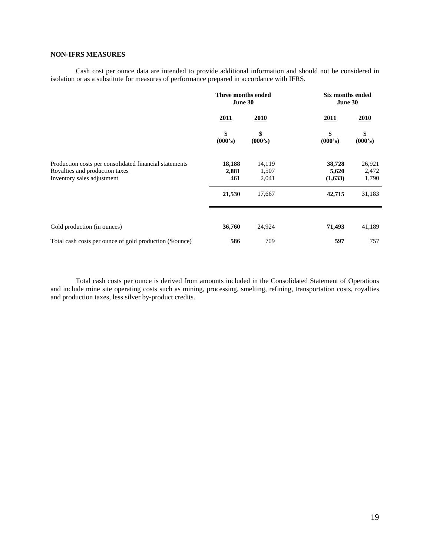# **NON-IFRS MEASURES**

Cash cost per ounce data are intended to provide additional information and should not be considered in isolation or as a substitute for measures of performance prepared in accordance with IFRS.

|                                                                                                                        | Three months ended<br>June 30 |                          | Six months ended<br>June 30 |                          |  |
|------------------------------------------------------------------------------------------------------------------------|-------------------------------|--------------------------|-----------------------------|--------------------------|--|
|                                                                                                                        | 2011                          | 2010                     | 2011                        | 2010                     |  |
|                                                                                                                        | \$<br>(000's)                 | \$<br>(000's)            | \$<br>(000's)               | \$<br>(000's)            |  |
| Production costs per consolidated financial statements<br>Royalties and production taxes<br>Inventory sales adjustment | 18,188<br>2,881<br>461        | 14,119<br>1,507<br>2,041 | 38,728<br>5,620<br>(1,633)  | 26,921<br>2,472<br>1,790 |  |
|                                                                                                                        | 21,530                        | 17,667                   | 42,715                      | 31,183                   |  |
| Gold production (in ounces)                                                                                            | 36,760                        | 24,924                   | 71,493                      | 41,189                   |  |
| Total cash costs per ounce of gold production (\$/ounce)                                                               | 586                           | 709                      | 597                         | 757                      |  |

Total cash costs per ounce is derived from amounts included in the Consolidated Statement of Operations and include mine site operating costs such as mining, processing, smelting, refining, transportation costs, royalties and production taxes, less silver by-product credits.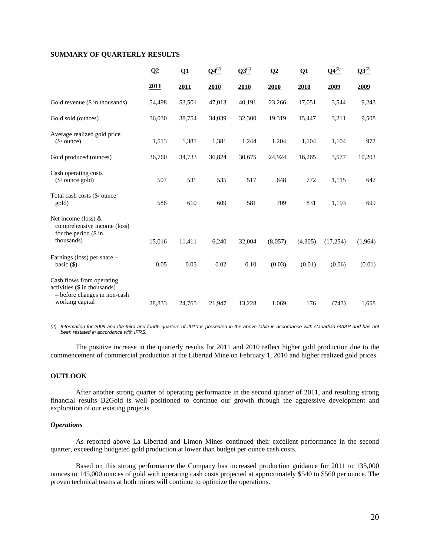### **SUMMARY OF QUARTERLY RESULTS**

|                                                                                                              | $\Omega$    | Q1          | $Q4^{(2)}$ | $03^{(2)}$ | Q <sub>2</sub> | $\Omega$ 1 | $Q4^{(2)}$ | $03^{(2)}$  |
|--------------------------------------------------------------------------------------------------------------|-------------|-------------|------------|------------|----------------|------------|------------|-------------|
|                                                                                                              | <u>2011</u> | <u>2011</u> | 2010       | 2010       | 2010           | 2010       | 2009       | <u>2009</u> |
| Gold revenue (\$ in thousands)                                                                               | 54,498      | 53,501      | 47,013     | 40,191     | 23,266         | 17,051     | 3,544      | 9,243       |
| Gold sold (ounces)                                                                                           | 36,030      | 38,754      | 34,039     | 32,300     | 19,319         | 15,447     | 3,211      | 9,508       |
| Average realized gold price<br>$$/$ ounce)                                                                   | 1,513       | 1,381       | 1,381      | 1,244      | 1,204          | 1,104      | 1,104      | 972         |
| Gold produced (ounces)                                                                                       | 36,760      | 34,733      | 36,824     | 30,675     | 24,924         | 16,265     | 3,577      | 10,203      |
| Cash operating costs<br>$(\frac{\sqrt{2}}{2})$ ounce gold)                                                   | 507         | 531         | 535        | 517        | 648            | 772        | 1,115      | 647         |
| Total cash costs (\$/ ounce<br>gold)                                                                         | 586         | 610         | 609        | 581        | 709            | 831        | 1,193      | 699         |
| Net income (loss) $&$<br>comprehensive income (loss)<br>for the period (\$ in<br>thousands)                  | 15,016      | 11,411      | 6,240      | 32,004     | (8,057)        | (4,305)    | (17, 254)  | (1,964)     |
| Earnings (loss) per share –<br>basic $(\$)$                                                                  | 0.05        | 0.03        | 0.02       | 0.10       | (0.03)         | (0.01)     | (0.06)     | (0.01)      |
| Cash flows from operating<br>activities (\$ in thousands)<br>- before changes in non-cash<br>working capital | 28,833      | 24,765      | 21,947     | 13,228     | 1,069          | 176        | (743)      | 1,658       |
|                                                                                                              |             |             |            |            |                |            |            |             |

*(2) Information for 2009 and the third and fourth quarters of 2010 is presented in the above table in accordance with Canadian GAAP and has not been restated in accordance with IFRS.* 

The positive increase in the quarterly results for 2011 and 2010 reflect higher gold production due to the commencement of commercial production at the Libertad Mine on February 1, 2010 and higher realized gold prices.

### **OUTLOOK**

After another strong quarter of operating performance in the second quarter of 2011, and resulting strong financial results B2Gold is well positioned to continue our growth through the aggressive development and exploration of our existing projects.

### *Operations*

As reported above La Libertad and Limon Mines continued their excellent performance in the second quarter, exceeding budgeted gold production at lower than budget per ounce cash costs.

Based on this strong performance the Company has increased production guidance for 2011 to 135,000 ounces to 145,000 ounces of gold with operating cash costs projected at approximately \$540 to \$560 per ounce. The proven technical teams at both mines will continue to optimize the operations.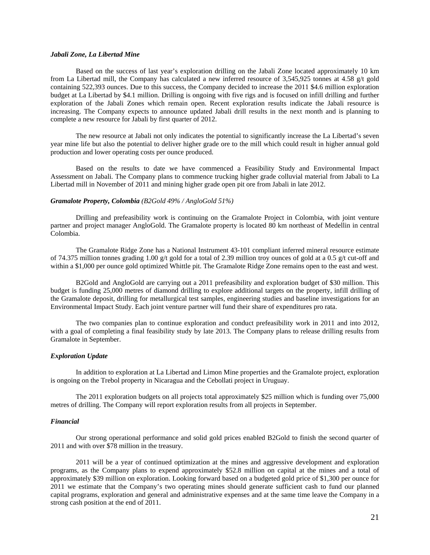### *Jabali Zone, La Libertad Mine*

Based on the success of last year's exploration drilling on the Jabali Zone located approximately 10 km from La Libertad mill, the Company has calculated a new inferred resource of 3,545,925 tonnes at 4.58 g/t gold containing 522,393 ounces. Due to this success, the Company decided to increase the 2011 \$4.6 million exploration budget at La Libertad by \$4.1 million. Drilling is ongoing with five rigs and is focused on infill drilling and further exploration of the Jabali Zones which remain open. Recent exploration results indicate the Jabali resource is increasing. The Company expects to announce updated Jabali drill results in the next month and is planning to complete a new resource for Jabali by first quarter of 2012.

The new resource at Jabali not only indicates the potential to significantly increase the La Libertad's seven year mine life but also the potential to deliver higher grade ore to the mill which could result in higher annual gold production and lower operating costs per ounce produced.

Based on the results to date we have commenced a Feasibility Study and Environmental Impact Assessment on Jabali. The Company plans to commence trucking higher grade colluvial material from Jabali to La Libertad mill in November of 2011 and mining higher grade open pit ore from Jabali in late 2012.

### *Gramalote Property, Colombia (B2Gold 49% / AngloGold 51%)*

Drilling and prefeasibility work is continuing on the Gramalote Project in Colombia, with joint venture partner and project manager AngloGold. The Gramalote property is located 80 km northeast of Medellin in central Colombia.

The Gramalote Ridge Zone has a National Instrument 43-101 compliant inferred mineral resource estimate of 74.375 million tonnes grading 1.00 g/t gold for a total of 2.39 million troy ounces of gold at a 0.5 g/t cut-off and within a \$1,000 per ounce gold optimized Whittle pit. The Gramalote Ridge Zone remains open to the east and west.

B2Gold and AngloGold are carrying out a 2011 prefeasibility and exploration budget of \$30 million. This budget is funding 25,000 metres of diamond drilling to explore additional targets on the property, infill drilling of the Gramalote deposit, drilling for metallurgical test samples, engineering studies and baseline investigations for an Environmental Impact Study. Each joint venture partner will fund their share of expenditures pro rata.

The two companies plan to continue exploration and conduct prefeasibility work in 2011 and into 2012, with a goal of completing a final feasibility study by late 2013. The Company plans to release drilling results from Gramalote in September.

#### *Exploration Update*

In addition to exploration at La Libertad and Limon Mine properties and the Gramalote project, exploration is ongoing on the Trebol property in Nicaragua and the Cebollati project in Uruguay.

The 2011 exploration budgets on all projects total approximately \$25 million which is funding over 75,000 metres of drilling. The Company will report exploration results from all projects in September.

#### *Financial*

Our strong operational performance and solid gold prices enabled B2Gold to finish the second quarter of 2011 and with over \$78 million in the treasury.

2011 will be a year of continued optimization at the mines and aggressive development and exploration programs, as the Company plans to expend approximately \$52.8 million on capital at the mines and a total of approximately \$39 million on exploration. Looking forward based on a budgeted gold price of \$1,300 per ounce for 2011 we estimate that the Company's two operating mines should generate sufficient cash to fund our planned capital programs, exploration and general and administrative expenses and at the same time leave the Company in a strong cash position at the end of 2011.